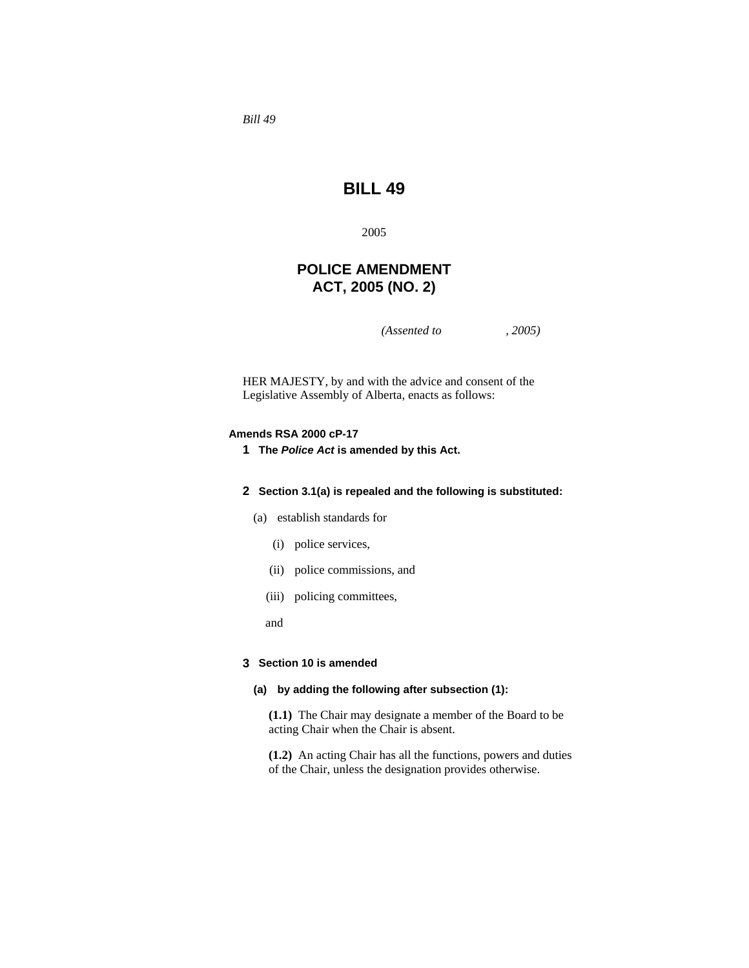*Bill 49* 

# **BILL 49**

2005

# **POLICE AMENDMENT ACT, 2005 (NO. 2)**

*(Assented to , 2005)* 

HER MAJESTY, by and with the advice and consent of the Legislative Assembly of Alberta, enacts as follows:

# **Amends RSA 2000 cP-17**

**1 The** *Police Act* **is amended by this Act.** 

## **2 Section 3.1(a) is repealed and the following is substituted:**

- (a) establish standards for
	- (i) police services,
	- (ii) police commissions, and
	- (iii) policing committees,
	- and

#### **3 Section 10 is amended**

# **(a) by adding the following after subsection (1):**

**(1.1)** The Chair may designate a member of the Board to be acting Chair when the Chair is absent.

**(1.2)** An acting Chair has all the functions, powers and duties of the Chair, unless the designation provides otherwise.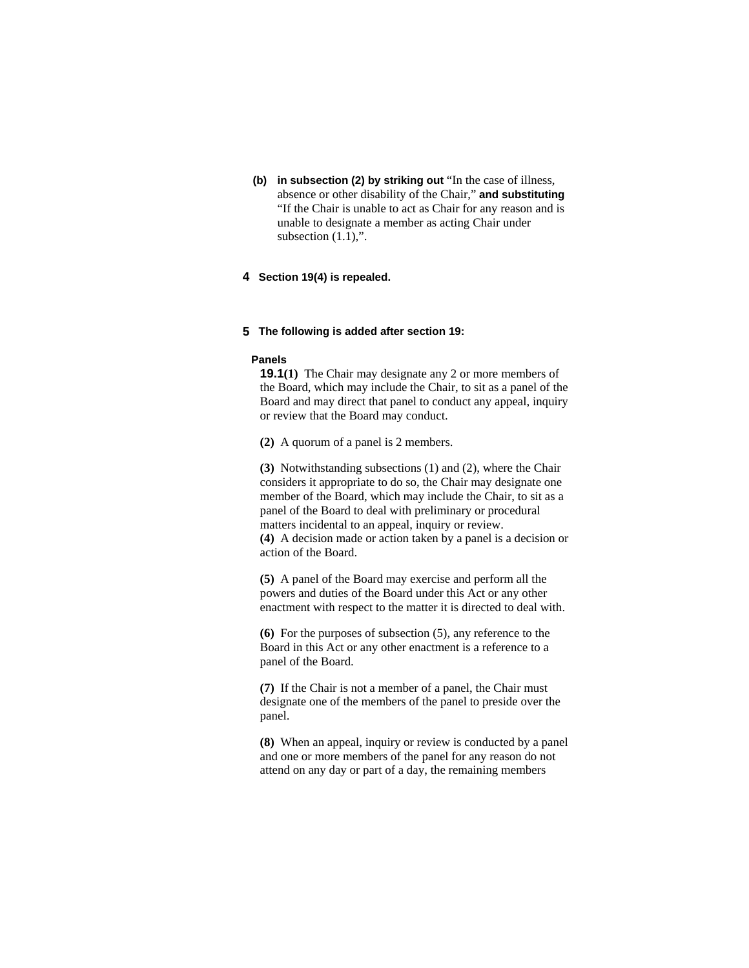**(b) in subsection (2) by striking out** "In the case of illness, absence or other disability of the Chair," **and substituting**  "If the Chair is unable to act as Chair for any reason and is unable to designate a member as acting Chair under subsection  $(1.1)$ ,".

# **4 Section 19(4) is repealed.**

#### **5 The following is added after section 19:**

## **Panels**

**19.1(1)** The Chair may designate any 2 or more members of the Board, which may include the Chair, to sit as a panel of the Board and may direct that panel to conduct any appeal, inquiry or review that the Board may conduct.

**(2)** A quorum of a panel is 2 members.

**(3)** Notwithstanding subsections (1) and (2), where the Chair considers it appropriate to do so, the Chair may designate one member of the Board, which may include the Chair, to sit as a panel of the Board to deal with preliminary or procedural matters incidental to an appeal, inquiry or review. **(4)** A decision made or action taken by a panel is a decision or action of the Board.

**(5)** A panel of the Board may exercise and perform all the powers and duties of the Board under this Act or any other enactment with respect to the matter it is directed to deal with.

**(6)** For the purposes of subsection (5), any reference to the Board in this Act or any other enactment is a reference to a panel of the Board.

**(7)** If the Chair is not a member of a panel, the Chair must designate one of the members of the panel to preside over the panel.

**(8)** When an appeal, inquiry or review is conducted by a panel and one or more members of the panel for any reason do not attend on any day or part of a day, the remaining members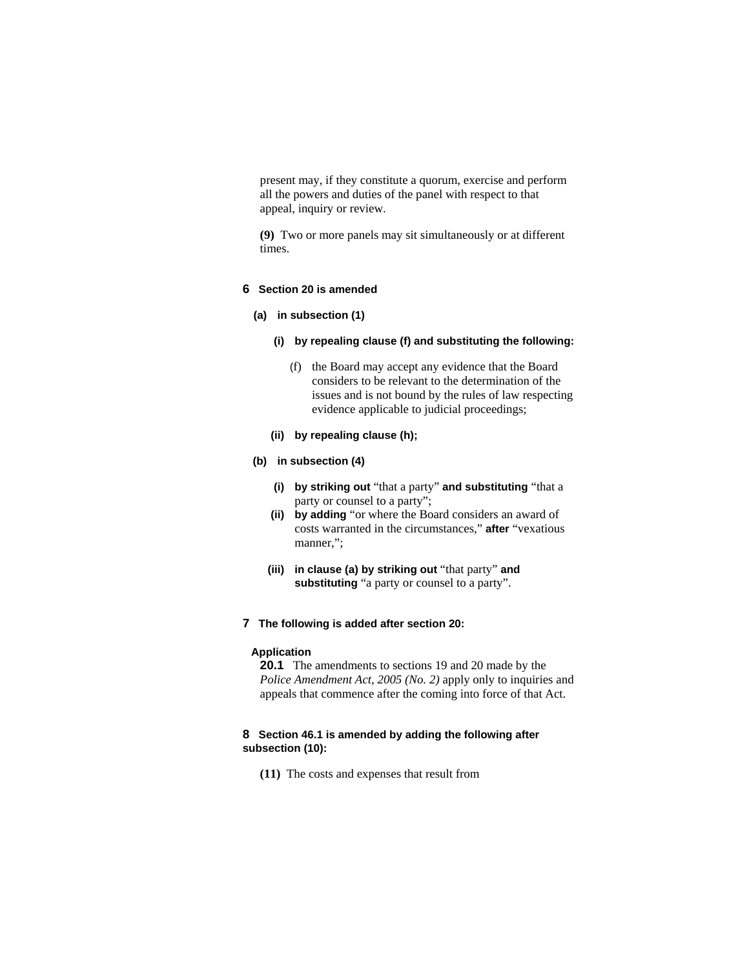present may, if they constitute a quorum, exercise and perform all the powers and duties of the panel with respect to that appeal, inquiry or review.

**(9)** Two or more panels may sit simultaneously or at different times.

# **6 Section 20 is amended**

#### **(a) in subsection (1)**

- **(i) by repealing clause (f) and substituting the following:** 
	- (f) the Board may accept any evidence that the Board considers to be relevant to the determination of the issues and is not bound by the rules of law respecting evidence applicable to judicial proceedings;
- **(ii) by repealing clause (h);**

#### **(b) in subsection (4)**

- **(i) by striking out** "that a party" **and substituting** "that a party or counsel to a party";
- **(ii) by adding** "or where the Board considers an award of costs warranted in the circumstances," **after** "vexatious manner,";
- **(iii) in clause (a) by striking out** "that party" **and substituting** "a party or counsel to a party".
- **7 The following is added after section 20:**

# **Application**

**20.1** The amendments to sections 19 and 20 made by the *Police Amendment Act, 2005 (No. 2)* apply only to inquiries and appeals that commence after the coming into force of that Act.

# **8 Section 46.1 is amended by adding the following after subsection (10):**

**(11)** The costs and expenses that result from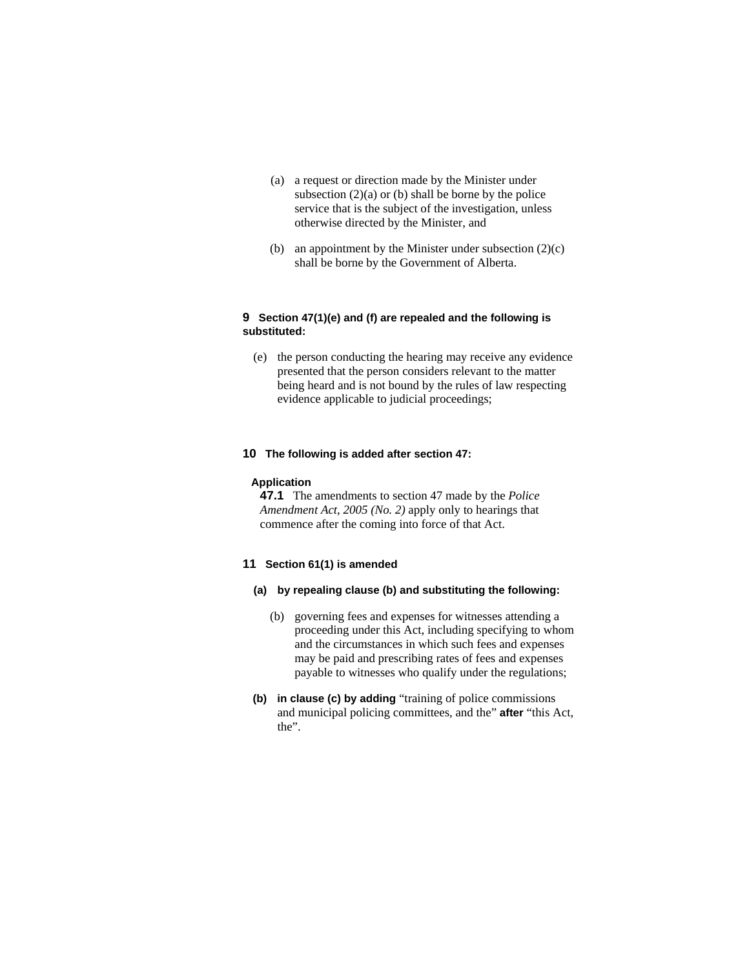- (a) a request or direction made by the Minister under subsection  $(2)(a)$  or  $(b)$  shall be borne by the police service that is the subject of the investigation, unless otherwise directed by the Minister, and
- (b) an appointment by the Minister under subsection (2)(c) shall be borne by the Government of Alberta.

# **9 Section 47(1)(e) and (f) are repealed and the following is substituted:**

 (e) the person conducting the hearing may receive any evidence presented that the person considers relevant to the matter being heard and is not bound by the rules of law respecting evidence applicable to judicial proceedings;

# **10 The following is added after section 47:**

#### **Application**

**47.1** The amendments to section 47 made by the *Police Amendment Act, 2005 (No. 2)* apply only to hearings that commence after the coming into force of that Act.

## **11 Section 61(1) is amended**

- **(a) by repealing clause (b) and substituting the following:** 
	- (b) governing fees and expenses for witnesses attending a proceeding under this Act, including specifying to whom and the circumstances in which such fees and expenses may be paid and prescribing rates of fees and expenses payable to witnesses who qualify under the regulations;
- **(b) in clause (c) by adding** "training of police commissions and municipal policing committees, and the" **after** "this Act, the".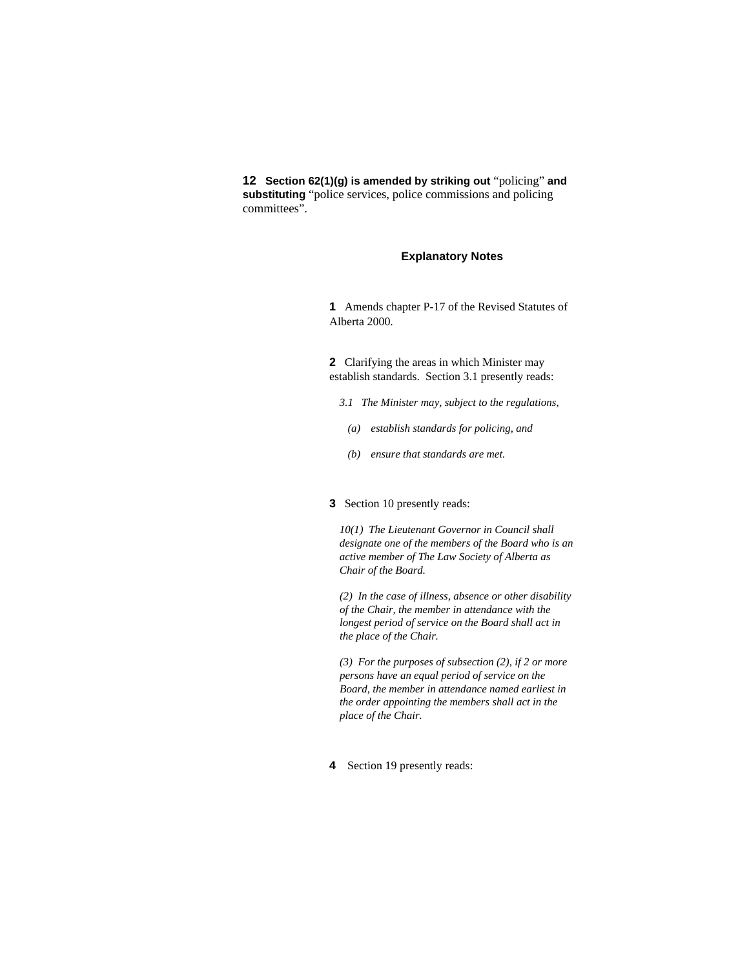**12 Section 62(1)(g) is amended by striking out** "policing" **and substituting** "police services, police commissions and policing committees".

# **Explanatory Notes**

**1** Amends chapter P-17 of the Revised Statutes of Alberta 2000.

**2** Clarifying the areas in which Minister may establish standards. Section 3.1 presently reads:

- *3.1 The Minister may, subject to the regulations,*
- *(a) establish standards for policing, and*
- *(b) ensure that standards are met.*

## **3** Section 10 presently reads:

*10(1) The Lieutenant Governor in Council shall designate one of the members of the Board who is an active member of The Law Society of Alberta as Chair of the Board.* 

*(2) In the case of illness, absence or other disability of the Chair, the member in attendance with the longest period of service on the Board shall act in the place of the Chair.* 

*(3) For the purposes of subsection (2), if 2 or more persons have an equal period of service on the Board, the member in attendance named earliest in the order appointing the members shall act in the place of the Chair.* 

**4** Section 19 presently reads: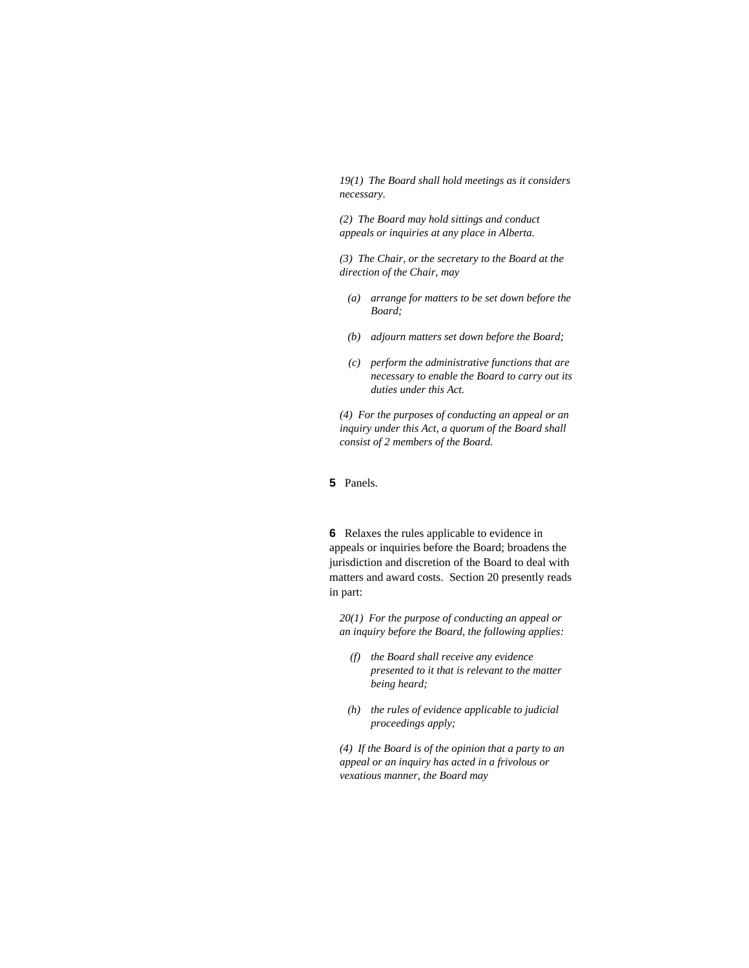*19(1) The Board shall hold meetings as it considers necessary.* 

*(2) The Board may hold sittings and conduct appeals or inquiries at any place in Alberta.* 

*(3) The Chair, or the secretary to the Board at the direction of the Chair, may* 

- *(a) arrange for matters to be set down before the Board;*
- *(b) adjourn matters set down before the Board;*
- *(c) perform the administrative functions that are necessary to enable the Board to carry out its duties under this Act.*

*(4) For the purposes of conducting an appeal or an inquiry under this Act, a quorum of the Board shall consist of 2 members of the Board.* 

**5** Panels.

**6** Relaxes the rules applicable to evidence in appeals or inquiries before the Board; broadens the jurisdiction and discretion of the Board to deal with matters and award costs. Section 20 presently reads in part:

*20(1) For the purpose of conducting an appeal or an inquiry before the Board, the following applies:* 

- *(f) the Board shall receive any evidence presented to it that is relevant to the matter being heard;*
- *(h) the rules of evidence applicable to judicial proceedings apply;*

*(4) If the Board is of the opinion that a party to an appeal or an inquiry has acted in a frivolous or vexatious manner, the Board may*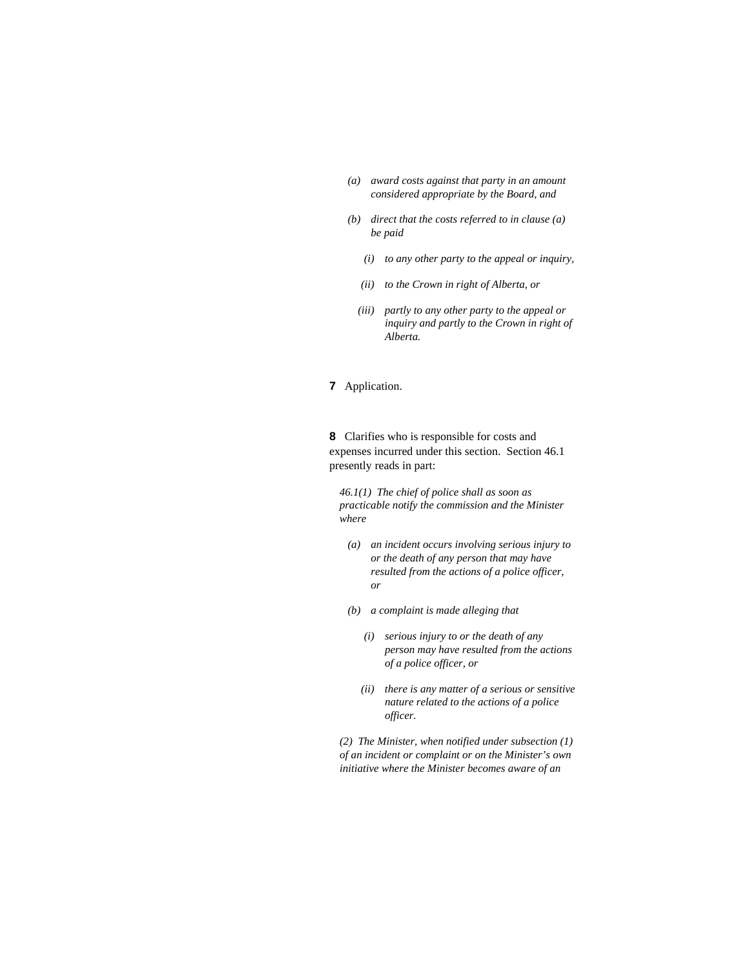- *(a) award costs against that party in an amount considered appropriate by the Board, and*
- *(b) direct that the costs referred to in clause (a) be paid* 
	- *(i) to any other party to the appeal or inquiry,*
	- *(ii) to the Crown in right of Alberta, or*
	- *(iii) partly to any other party to the appeal or inquiry and partly to the Crown in right of Alberta.*

## **7** Application.

**8** Clarifies who is responsible for costs and expenses incurred under this section. Section 46.1 presently reads in part:

*46.1(1) The chief of police shall as soon as practicable notify the commission and the Minister where* 

- *(a) an incident occurs involving serious injury to or the death of any person that may have resulted from the actions of a police officer, or*
- *(b) a complaint is made alleging that* 
	- *(i) serious injury to or the death of any person may have resulted from the actions of a police officer, or*
	- *(ii) there is any matter of a serious or sensitive nature related to the actions of a police officer.*

*(2) The Minister, when notified under subsection (1) of an incident or complaint or on the Minister's own initiative where the Minister becomes aware of an*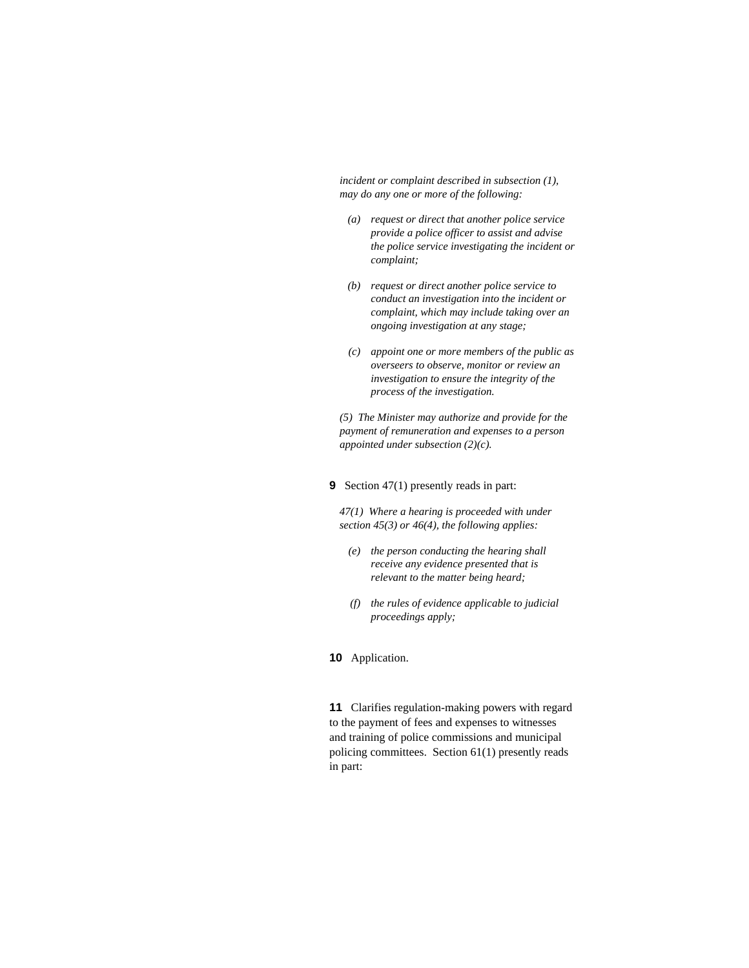*incident or complaint described in subsection (1), may do any one or more of the following:* 

- *(a) request or direct that another police service provide a police officer to assist and advise the police service investigating the incident or complaint;*
- *(b) request or direct another police service to conduct an investigation into the incident or complaint, which may include taking over an ongoing investigation at any stage;*
- *(c) appoint one or more members of the public as overseers to observe, monitor or review an investigation to ensure the integrity of the process of the investigation.*

*(5) The Minister may authorize and provide for the payment of remuneration and expenses to a person appointed under subsection (2)(c).* 

**9** Section 47(1) presently reads in part:

*47(1) Where a hearing is proceeded with under section 45(3) or 46(4), the following applies:* 

- *(e) the person conducting the hearing shall receive any evidence presented that is relevant to the matter being heard;*
- *(f) the rules of evidence applicable to judicial proceedings apply;*

# **10** Application.

**11** Clarifies regulation-making powers with regard to the payment of fees and expenses to witnesses and training of police commissions and municipal policing committees. Section 61(1) presently reads in part: